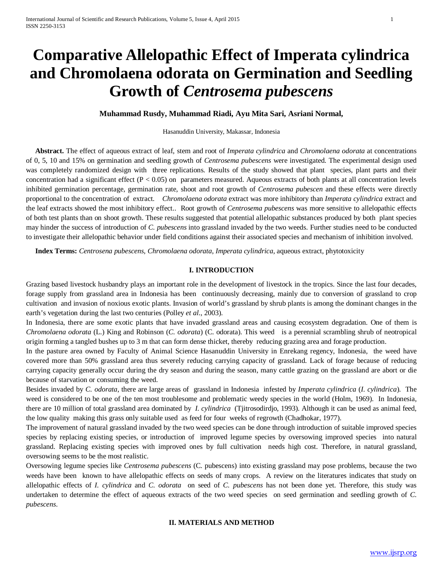# **Comparative Allelopathic Effect of Imperata cylindrica and Chromolaena odorata on Germination and Seedling Growth of** *Centrosema pubescens*

#### **Muhammad Rusdy, Muhammad Riadi, Ayu Mita Sari, Asriani Normal,**

#### Hasanuddin University, Makassar, Indonesia

 **Abstract.** The effect of aqueous extract of leaf, stem and root of *Imperata cylindrica* and *Chromolaena odorata* at concentrations of 0, 5, 10 and 15% on germination and seedling growth of *Centrosema pubescens* were investigated. The experimental design used was completely randomized design with three replications. Results of the study showed that plant species, plant parts and their concentration had a significant effect  $(P < 0.05)$  on parameters measured. Aqueous extracts of both plants at all concentration levels inhibited germination percentage, germination rate, shoot and root growth of *Centrosema pubescen* and these effects were directly proportional to the concentration of extract. *Chromolaena odorata* extract was more inhibitory than *Imperata cylindrica* extract and the leaf extracts showed the most inhibitory effect.. Root growth of *Centrosema pubescens* was more sensitive to allelopathic effects of both test plants than on shoot growth. These results suggested that potential allelopathic substances produced by both plant species may hinder the success of introduction of *C. pubescens* into grassland invaded by the two weeds. Further studies need to be conducted to investigate their allelopathic behavior under field conditions against their associated species and mechanism of inhibition involved.

 **Index Terms:** *Centrosena pubescens*, *Chromolaena odorata*, *Imperata cylindrica*, aqueous extract, phytotoxicity

#### **I. INTRODUCTION**

Grazing based livestock husbandry plays an important role in the development of livestock in the tropics. Since the last four decades, forage supply from grassland area in Indonesia has been continuously decreasing, mainly due to conversion of grassland to crop cultivation and invasion of noxious exotic plants. Invasion of world's grassland by shrub plants is among the dominant changes in the earth's vegetation during the last two centuries (Polley *et al*., 2003).

In Indonesia, there are some exotic plants that have invaded grassland areas and causing ecosystem degradation. One of them is *Chromolaena odorata* (L.) King and Robinson (*C. odorata*) (C. odorata). This weed is a perennial scrambling shrub of neotropical origin forming a tangled bushes up to 3 m that can form dense thicket, thereby reducing grazing area and forage production.

In the pasture area owned by Faculty of Animal Science Hasanuddin University in Enrekang regency, Indonesia, the weed have covered more than 50% grassland area thus severely reducing carrying capacity of grassland. Lack of forage because of reducing carrying capacity generally occur during the dry season and during the season, many cattle grazing on the grassland are abort or die because of starvation or consuming the weed.

Besides invaded by *C. odorata*, there are large areas of grassland in Indonesia infested by *Imperata cylindrica* (*I. cylindrica*). The weed is considered to be one of the ten most troublesome and problematic weedy species in the world (Holm, 1969). In Indonesia, there are 10 million of total grassland area dominated by *I. cylindrica* (Tjitrosodirdjo, 1993). Although it can be used as animal feed, the low quality making this grass only suitable used as feed for four weeks of regrowth (Chadhokar, 1977).

The improvement of natural grassland invaded by the two weed species can be done through introduction of suitable improved species species by replacing existing species, or introduction of improved legume species by oversowing improved species into natural grassland. Replacing existing species with improved ones by full cultivation needs high cost. Therefore, in natural grassland, oversowing seems to be the most realistic.

Oversowing legume species like *Centrosema pubescens* (C. pubescens) into existing grassland may pose problems, because the two weeds have been known to have allelopathic effects on seeds of many crops. A review on the literatures indicates that study on allelopathic effects of *I. cylindrica* and *C. odorata* on seed of *C. pubescens* has not been done yet. Therefore, this study was undertaken to determine the effect of aqueous extracts of the two weed species on seed germination and seedling growth of *C. pubescens*.

#### **II. MATERIALS AND METHOD**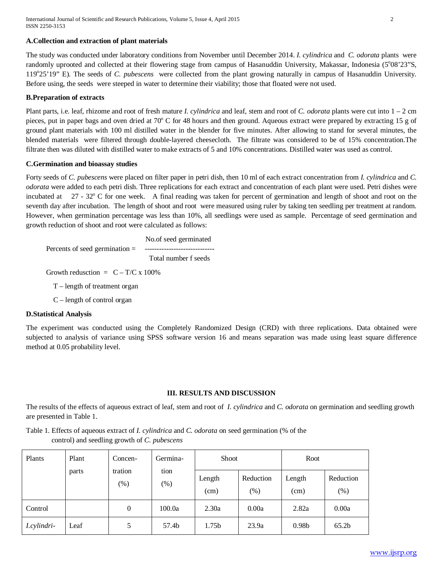#### **A.Collection and extraction of plant materials**

The study was conducted under laboratory conditions from November until December 2014. *I. cylindrica* and *C. odorata* plants were randomly uprooted and collected at their flowering stage from campus of Hasanuddin University, Makassar, Indonesia (5°08'23"S, 119°25'19" E). The seeds of *C. pubescens* were collected from the plant growing naturally in campus of Hasanuddin University. Before using, the seeds were steeped in water to determine their viability; those that floated were not used.

## **B.Preparation of extracts**

Plant parts, i.e. leaf, rhizome and root of fresh mature *I. cylindrica* and leaf, stem and root of *C. odorata* plants were cut into 1 – 2 cm pieces, put in paper bags and oven dried at 70° C for 48 hours and then ground. Aqueous extract were prepared by extracting 15 g of ground plant materials with 100 ml distilled water in the blender for five minutes. After allowing to stand for several minutes, the blended materials were filtered through double-layered cheesecloth. The filtrate was considered to be of 15% concentration.The filtrate then was diluted with distilled water to make extracts of 5 and 10% concentrations. Distilled water was used as control.

## **C.Germination and bioassay studies**

Forty seeds of *C. pubescens* were placed on filter paper in petri dish, then 10 ml of each extract concentration from *I. cylindrica* and *C. odorata* were added to each petri dish. Three replications for each extract and concentration of each plant were used. Petri dishes were incubated at  $27 - 32^{\circ}$  C for one week. A final reading was taken for percent of germination and length of shoot and root on the seventh day after incubation. The length of shoot and root were measured using ruler by taking ten seedling per treatment at random. However, when germination percentage was less than 10%, all seedlings were used as sample. Percentage of seed germination and growth reduction of shoot and root were calculated as follows:

 No.of seed germinated Percents of seed germination = ----------------------------- Total number f seeds

Growth redusction =  $C - T/C \times 100\%$ 

- T length of treatment organ
- C length of control organ

# **D.Statistical Analysis**

The experiment was conducted using the Completely Randomized Design (CRD) with three replications. Data obtained were subjected to analysis of variance using SPSS software version 16 and means separation was made using least square difference method at 0.05 probability level.

# **III. RESULTS AND DISCUSSION**

The results of the effects of aqueous extract of leaf, stem and root of *I. cylindrica* and *C. odorata* on germination and seedling growth are presented in Table 1.

Table 1. Effects of aqueous extract of *I. cylindrica* and *C. odorata* on seed germination (% of the control) and seedling growth of *C. pubescens*

| Plants      | Plant | Concen-           | Germina-       | <b>Shoot</b>      |                     | Root              |                   |
|-------------|-------|-------------------|----------------|-------------------|---------------------|-------------------|-------------------|
|             | parts | tration<br>$(\%)$ | tion<br>$(\%)$ | Length<br>(cm)    | Reduction<br>$(\%)$ | Length<br>(cm)    | Reduction<br>(% ) |
| Control     |       | 0                 | 100.0a         | 2.30a             | 0.00a               | 2.82a             | 0.00a             |
| I.cylindri- | Leaf  | 5                 | 57.4b          | 1.75 <sub>b</sub> | 23.9a               | 0.98 <sub>b</sub> | 65.2 <sub>b</sub> |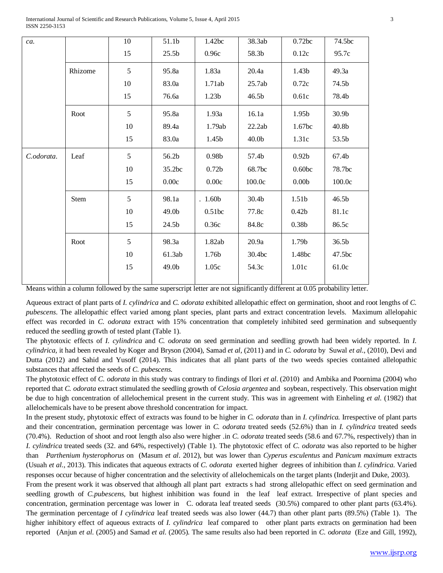| ca.        |             | 10 | 51.1b             | 1.42bc              | 38.3ab            | 0.72bc            | 74.5bc            |
|------------|-------------|----|-------------------|---------------------|-------------------|-------------------|-------------------|
|            |             | 15 | 25.5 <sub>b</sub> | 0.96c               | 58.3b             | 0.12c             | 95.7c             |
|            | Rhizome     | 5  | 95.8a             | 1.83a               | 20.4a             | 1.43b             | 49.3a             |
|            |             | 10 | 83.0a             | 1.71ab              | 25.7ab            | 0.72c             | 74.5b             |
|            |             | 15 | 76.6a             | 1.23 <sub>b</sub>   | 46.5b             | 0.61c             | 78.4b             |
|            | Root        | 5  | 95.8a             | 1.93a               | 16.1a             | 1.95b             | 30.9 <sub>b</sub> |
|            |             | 10 | 89.4a             | 1.79ab              | 22.2ab            | 1.67bc            | 40.8b             |
|            |             | 15 | 83.0a             | 1.45b               | 40.0 <sub>b</sub> | 1.31c             | 53.5b             |
| C.odorata. | Leaf        | 5  | 56.2b             | 0.98 <sub>b</sub>   | 57.4b             | 0.92 <sub>b</sub> | 67.4b             |
|            |             | 10 | 35.2bc            | 0.72 <sub>b</sub>   | 68.7bc            | 0.60 <sub>b</sub> | 78.7bc            |
|            |             | 15 | 0.00c             | 0.00c               | 100.0c            | 0.00 <sub>b</sub> | 100.0c            |
|            | <b>Stem</b> | 5  | 98.1a             | . 1.60 <sub>b</sub> | 30.4b             | 1.51 <sub>b</sub> | 46.5b             |
|            |             | 10 | 49.0b             | 0.51bc              | 77.8c             | 0.42 <sub>b</sub> | 81.1c             |
|            |             | 15 | 24.5b             | 0.36c               | 84.8c             | 0.38 <sub>b</sub> | 86.5c             |
|            | Root        | 5  | 98.3a             | 1.82ab              | 20.9a             | 1.79b             | 36.5b             |
|            |             | 10 | 61.3ab            | 1.76b               | 30.4bc            | 1.48bc            | 47.5bc            |
|            |             | 15 | 49.0b             | 1.05c               | 54.3c             | 1.01c             | 61.0c             |
|            |             |    |                   |                     |                   |                   |                   |

Means within a column followed by the same superscript letter are not significantly different at 0.05 probability letter.

Aqueous extract of plant parts of *I. cylindrica* and *C. odorata* exhibited allelopathic effect on germination, shoot and root lengths of *C. pubescens*. The allelopathic effect varied among plant species, plant parts and extract concentration levels. Maximum allelopahic effect was recorded in *C. odorata* extract with 15% concentration that completely inhibited seed germination and subsequently reduced the seedling growth of tested plant (Table 1).

The phytotoxic effects of *I. cylindrica* and *C. odorata* on seed germination and seedling growth had been widely reported. In *I. cylindrica,* it had been revealed by Koger and Bryson (2004), Samad *et al*, (2011) and in *C. odorata* by Suwal *et al*., (2010), Devi and Dutta (2012) and Sahid and Yusoff (2014). This indicates that all plant parts of the two weeds species contained allelopathic substances that affected the seeds of *C. pubescens*.

The phytotoxic effect of *C. odorata* in this study was contrary to findings of Ilori *et al*. (2010) and Ambika and Poornima (2004) who reported that *C. odorata* extract stimulated the seedling growth of *Celosia argentea* and soybean, respectively. This observation might be due to high concentration of allelochemical present in the current study. This was in agreement with Einheling *et al*. (1982) that allelochemicals have to be present above threshold concentration for impact.

In the present study, phytotoxic effect of extracts was found to be higher in *C. odorata* than in *I. cylindrica.* Irrespective of plant parts and their concentration, germination percentage was lower in *C. odorata* treated seeds (52.6%) than in *I. cylindrica* treated seeds (70.4%). Reduction of shoot and root length also also were higher .in *C. odorata* treated seeds (58.6 and 67.7%, respectively) than in *I. cylindrica* treated seeds (32. and 64%, respectively) (Table 1). The phytotoxic effect of *C. odorata* was also reported to be higher than *Parthenium hysterophorus* on (Masum *et al*. 2012), but was lower than *Cyperus esculentus* and *Panicum maximum* extracts (Usuah *et al*., 2013). This indicates that aqueous extracts of *C. odorata* exerted higher degrees of inhibition than *I. cylindrica*. Varied responses occur because of higher concentration and the selectivity of allelochemicals on the target plants (Inderjit and Duke, 2003).

From the present work it was observed that although all plant part extracts s had strong allelopathic effect on seed germination and seedling growth of *C.pubescens*, but highest inhibition was found in the leaf leaf extract. Irrespective of plant species and concentration, germination percentage was lower in C. odorata leaf treated seeds (30.5%) compared to other plant parts (63.4%). The germination percentage of *I cylindrica* leaf treated seeds was also lower (44.7) than other plant parts (89.5%) (Table 1). The higher inhibitory effect of aqueous extracts of *I. cylindrica* leaf compared to other plant parts extracts on germination had been reported (Anjun *et al*. (2005) and Samad *et al*. (2005). The same results also had been reported in *C. odorata* (Eze and Gill, 1992),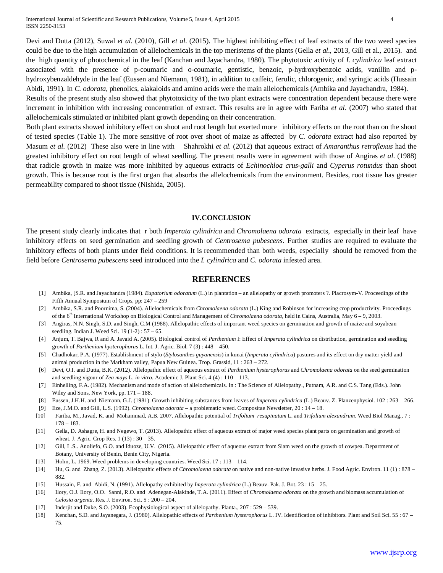Devi and Dutta (2012), Suwal *et al*. (2010), Gill *et al*. (2015). The highest inhibiting effect of leaf extracts of the two weed species could be due to the high accumulation of allelochemicals in the top meristems of the plants (Gella *et al*., 2013, Gill et al., 2015). and the high quantity of photochemical in the leaf (Kanchan and Jayachandra, 1980). The phytotoxic activity of *I. cylindrica* leaf extract associated with the presence of p-coumaric and o-coumaric, gentistic, benzoic, p-hydroxybenzoic acids, vanillin and phydroxybenzaldehyde in the leaf (Eussen and Niemann, 1981), in addition to caffeic, ferulic, chlorogenic, and syringic acids (Hussain Abidi, 1991). In *C. odorata*, phenolics, alakaloids and amino acids were the main allelochemicals (Ambika and Jayachandra, 1984).

Results of the present study also showed that phytotoxicity of the two plant extracts were concentration dependent because there were increment in inhibition with increasing concentration of extract. This results are in agree with Fariba *et al*. (2007) who stated that allelochemicals stimulated or inhibited plant growth depending on their concentration.

Both plant extracts showed inhibitory effect on shoot and root length but exerted more inhibitory effects on the root than on the shoot of tested species (Table 1). The more sensitive of root over shoot of maize as affected by *C. odorata* extract had also reported by Masum *et al*. (2012) These also were in line with Shahrokhi *et al*. (2012) that aqueous extract of *Amaranthus retroflexus* had the greatest inhibitory effect on root length of wheat seedling. The present results were in agreement with those of Angiras *et al*. (1988) that radicle growth in maize was more inhibited by aqueous extracts of *Echinochloa crus-galli* and *Cyperus rotundus* than shoot growth. This is because root is the first organ that absorbs the allelochemicals from the environment. Besides, root tissue has greater permeability compared to shoot tissue (Nishida, 2005).

#### **IV.CONCLUSION**

The present study clearly indicates that r both *Imperata cylindrica* and *Chromolaena odorata* extracts, especially in their leaf have inhibitory effects on seed germination and seedling growth of *Centrosema pubescens*. Further studies are required to evaluate the inhibitory effects of both plants under field conditions. It is recommended than both weeds, especially should be removed from the field before *Centrosema pubescens* seed introduced into the *I. cylindrica* and *C. odorata* infested area.

## **REFERENCES**

- [1] Ambika, [S.R. and Jayachandra (1984). *Eupatorium odoratum* (L.) in plantation an allelopathy or growth promoters ?. Placrosym-V. Proceedings of the Fifth Annual Symposium of Crops, pp: 247 – 259
- [2] Ambika, S.R. and Poornima, S. (2004). Allelochemicals from *Chromolaena odorata* (L.) King and Robinson for increasing crop productivity. Proceedings of the 6<sup>th</sup> International Workshop on Biological Control and Management of *Chromolaena odorata*, held in Cains, Australia, May 6 – 9, 2003.
- [3] Angiras, N.N. Singh, S.D. and Singh, C.M (1988). Allelopathic effects of important weed species on germination and growth of maize and soyabean seedling. Indian J. Weed Sci. 19 (1-2) : 57 – 65.
- [4] Anjum, T. Bajwa, R and A. Javaid A. (2005). Biological control of *Parthenium* I: Effect of *Imperata cylindrica* on distribution, germination and seedling growth of *Parthenium hysterophorus* L. Int. J. Agric. Biol. 7 (3) : 448 – 450.
- [5] Chadhokar, P.A. (1977). Establishment of stylo (*Stylosanthes guyanensis*) in kunai (*Imperata cylindrica*) pastures and its effect on dry matter yield and animal production in the Markham valley, Papua New Guinea. Trop. Grassld, 11 : 263 – 272.
- [6] Devi, O.I. and Dutta, B.K. (2012). Allelopathic effect of aqueous extract of *Parthenium hysterophorus* and *Chromolaena odorata* on the seed germination and seedling vigour of *Zea mays* L. *in vitro*. Academic J. Plant Sci. 4 (4) : 110 – 113.
- [7] Einhelling, F.A. (1982). Mechanism and mode of action of allelochemicals. In : The Science of Allelopathy., Putnam, A.R. and C.S. Tang (Eds.). John Wiley and Sons, New York, pp. 171 – 188.
- [8] Eussen, J.H.H. and Niemann, G.J. (1981). Growth inhibiting substances from leaves of *Imperata cylindrica* (L.) Beauv. Z. Planzenphysiol. 102 : 263 266.
- [9] Eze, J.M.O. and Gill, L.S. (1992). *Chromolaena odorata* a problematic weed. Compositae Newsletter, 20 : 14 18.
- [10] Fariba, M., Javad, K. and Mohammad, A.B. 2007. Allelopathic potential of *Trifolium resupinatum* L. and *Trifolium alexandrum*. Weed Biol Manag., 7 : 178 – 183.
- [11] Gella, D. Ashagre, H. and Negewo, T. (2013). Allelopathic effect of aqueous extract of major weed species plant parts on germination and growth of wheat. J. Agric. Crop Res. 1 (13): 30 – 35.
- [12] Gill, L.S.. Anoliefo, G.O. and Iduoze, U.V. (2015). Allelopathic effect of aqueous extract from Siam weed on the growth of cowpea. Department of Botany, University of Benin, Benin City, Nigeria.
- [13] Holm, L. 1969. Weed problems in developing countries. Weed Sci. 17 : 113 114.
- [14] Hu, G. and Zhang, Z. (2013). Allelopathic effects of *Chromolaena odorata* on native and non-native invasive herbs. J. Food Agric. Environ. 11 (1) : 878 882.
- [15] Hussain, F. and Abidi, N. (1991). Allelopathy exhibited by *Imperata cylindrica* (L.) Beauv. Pak. J. Bot. 23 : 15 25.
- [16] Ilory, O.J. Ilory, O.O. Sanni, R.O. and Adenegan-Alakinde, T.A. (2011). Effect of *Chromolaena odorata* on the growth and biomass accumulation of *Celosia argenta*. Res. J. Environ. Sci. 5 : 200 – 204.
- [17] Inderjit and Duke, S.O. (2003). Ecophysiological aspect of allelopathy. Planta., 207 : 529 539.
- [18] Kenchan, S.D. and Jayanegara, J. (1980). Allelopathic effects of *Parthenium hysterophorus* L. IV. Identification of inhibitors. Plant and Soil Sci. 55 : 67 75.